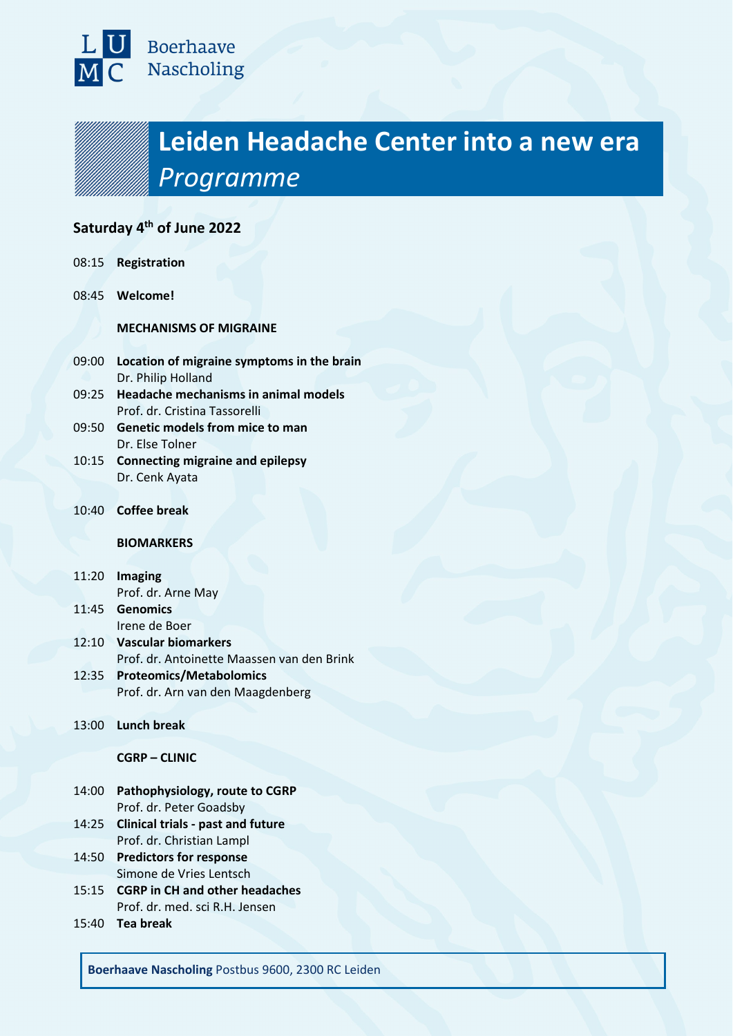

# **Leiden Headache Center into a new era**  *Programme*

## **Saturday 4th of June 2022**

| 08:15 | <b>Registration</b> |
|-------|---------------------|
|-------|---------------------|

08:45 **Welcome!**

**MECHANISMS OF MIGRAINE**

- 09:00 **Location of migraine symptoms in the brain** Dr. Philip Holland
- 09:25 **Headache mechanisms in animal models** Prof. dr. Cristina Tassorelli
- 09:50 **Genetic models from mice to man** Dr. Else Tolner
- 10:15 **Connecting migraine and epilepsy** Dr. Cenk Ayata
- 10:40 **Coffee break**

#### **BIOMARKERS**

- 11:20 **Imaging** Prof. dr. Arne May
- 11:45 **Genomics** Irene de Boer
- 12:10 **Vascular biomarkers** Prof. dr. Antoinette Maassen van den Brink
- 12:35 **Proteomics/Metabolomics** Prof. dr. Arn van den Maagdenberg
- 13:00 **Lunch break**

#### **CGRP – CLINIC**

- 14:00 **Pathophysiology, route to CGRP** Prof. dr. Peter Goadsby
- 14:25 **Clinical trials - past and future** Prof. dr. Christian Lampl
- 14:50 **Predictors for response** Simone de Vries Lentsch
- 15:15 **CGRP in CH and other headaches** Prof. dr. med. sci R.H. Jensen
- 15:40 **Tea break**

**Boerhaave Nascholing** Postbus 9600, 2300 RC Leiden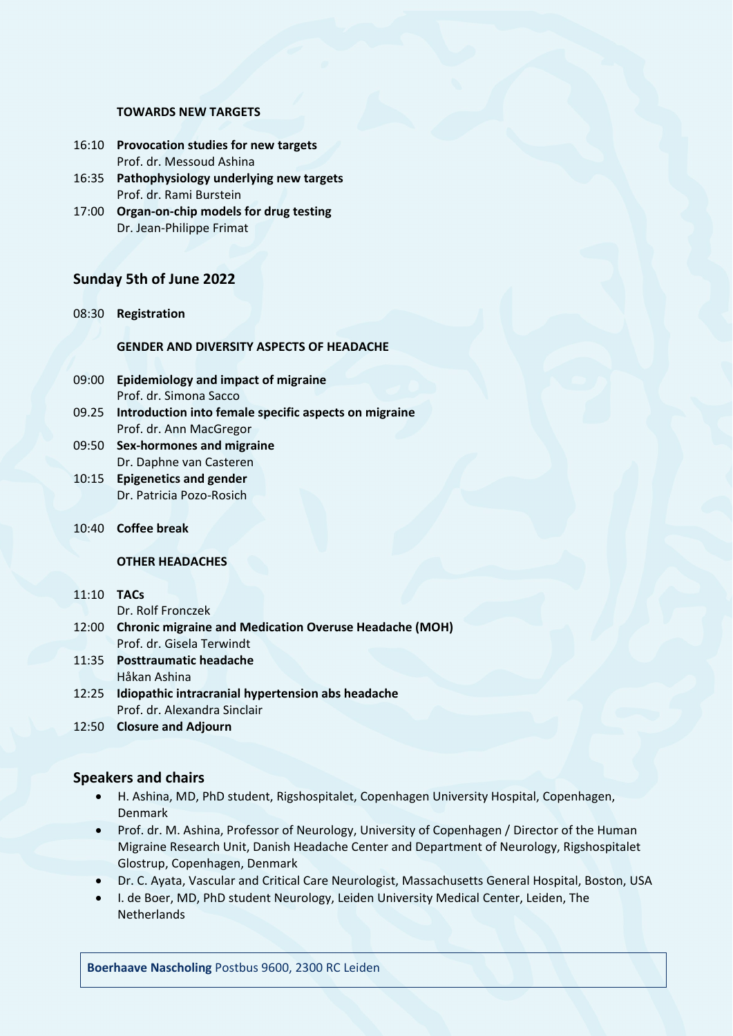#### **TOWARDS NEW TARGETS**

- 16:10 **Provocation studies for new targets** Prof. dr. Messoud Ashina
- 16:35 **Pathophysiology underlying new targets** Prof. dr. Rami Burstein
- 17:00 **Organ-on-chip models for drug testing** Dr. Jean-Philippe Frimat

## **Sunday 5th of June 2022**

08:30 **Registration**

## **GENDER AND DIVERSITY ASPECTS OF HEADACHE**

- 09:00 **Epidemiology and impact of migraine**  Prof. dr. Simona Sacco
- 09.25 **Introduction into female specific aspects on migraine** Prof. dr. Ann MacGregor
- 09:50 **Sex-hormones and migraine** Dr. Daphne van Casteren
- 10:15 **Epigenetics and gender** Dr. Patricia Pozo-Rosich
- 10:40 **Coffee break**

#### **OTHER HEADACHES**

## 11:10 **TACs**

Dr. Rolf Fronczek

- 12:00 **Chronic migraine and Medication Overuse Headache (MOH)** Prof. dr. Gisela Terwindt
- 11:35 **Posttraumatic headache** Håkan Ashina
- 12:25 **Idiopathic intracranial hypertension abs headache** Prof. dr. Alexandra Sinclair
- 12:50 **Closure and Adjourn**

## **Speakers and chairs**

- H. Ashina, MD, PhD student, Rigshospitalet, Copenhagen University Hospital, Copenhagen, Denmark
- Prof. dr. M. Ashina, Professor of Neurology, University of Copenhagen / Director of the Human Migraine Research Unit, Danish Headache Center and Department of Neurology, Rigshospitalet Glostrup, Copenhagen, Denmark
- Dr. C. Ayata, Vascular and Critical Care Neurologist, Massachusetts General Hospital, Boston, USA
- I. de Boer, MD, PhD student Neurology, Leiden University Medical Center, Leiden, The **Netherlands**

**Boerhaave Nascholing** Postbus 9600, 2300 RC Leiden